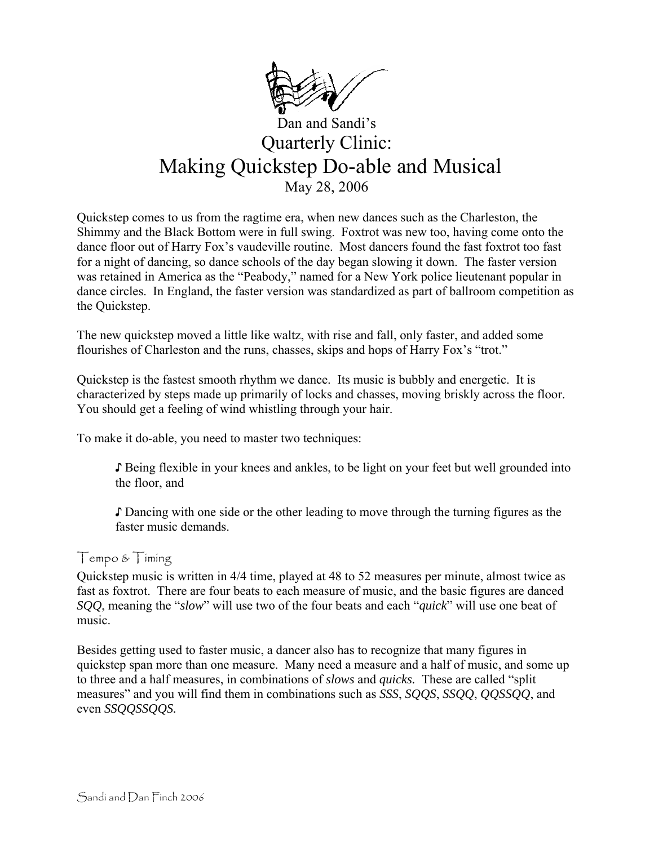

# Dan and Sandi's Quarterly Clinic: Making Quickstep Do-able and Musical May 28, 2006

Quickstep comes to us from the ragtime era, when new dances such as the Charleston, the Shimmy and the Black Bottom were in full swing. Foxtrot was new too, having come onto the dance floor out of Harry Fox's vaudeville routine. Most dancers found the fast foxtrot too fast for a night of dancing, so dance schools of the day began slowing it down. The faster version was retained in America as the "Peabody," named for a New York police lieutenant popular in dance circles. In England, the faster version was standardized as part of ballroom competition as the Quickstep.

The new quickstep moved a little like waltz, with rise and fall, only faster, and added some flourishes of Charleston and the runs, chasses, skips and hops of Harry Fox's "trot."

Quickstep is the fastest smooth rhythm we dance. Its music is bubbly and energetic. It is characterized by steps made up primarily of locks and chasses, moving briskly across the floor. You should get a feeling of wind whistling through your hair.

To make it do-able, you need to master two techniques:

♪ Being flexible in your knees and ankles, to be light on your feet but well grounded into the floor, and

♪ Dancing with one side or the other leading to move through the turning figures as the faster music demands.

#### Tempo & Timing

Quickstep music is written in 4/4 time, played at 48 to 52 measures per minute, almost twice as fast as foxtrot. There are four beats to each measure of music, and the basic figures are danced *SQQ*, meaning the "*slow*" will use two of the four beats and each "*quick*" will use one beat of music.

Besides getting used to faster music, a dancer also has to recognize that many figures in quickstep span more than one measure. Many need a measure and a half of music, and some up to three and a half measures, in combinations of *slows* and *quicks.* These are called "split measures" and you will find them in combinations such as *SSS*, *SQQS*, *SSQQ*, *QQSSQQ*, and even *SSQQSSQQS.*